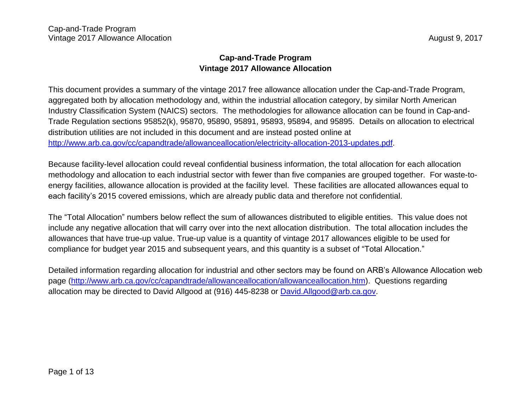# **Cap-and-Trade Program Vintage 2017 Allowance Allocation**

This document provides a summary of the vintage 2017 free allowance allocation under the Cap-and-Trade Program, aggregated both by allocation methodology and, within the industrial allocation category, by similar North American Industry Classification System (NAICS) sectors. The methodologies for allowance allocation can be found in Cap-and-Trade Regulation sections 95852(k), 95870, 95890, 95891, 95893, 95894, and 95895. Details on allocation to electrical distribution utilities are not included in this document and are instead posted online at [http://www.arb.ca.gov/cc/capandtrade/allowanceallocation/electricity-allocation-2013-updates.pdf.](http://www.arb.ca.gov/cc/capandtrade/allowanceallocation/electricity-allocation-2013-updates.pdf)

Because facility-level allocation could reveal confidential business information, the total allocation for each allocation methodology and allocation to each industrial sector with fewer than five companies are grouped together. For waste-toenergy facilities, allowance allocation is provided at the facility level. These facilities are allocated allowances equal to each facility's 2015 covered emissions, which are already public data and therefore not confidential.

The "Total Allocation" numbers below reflect the sum of allowances distributed to eligible entities. This value does not include any negative allocation that will carry over into the next allocation distribution. The total allocation includes the allowances that have true-up value. True-up value is a quantity of vintage 2017 allowances eligible to be used for compliance for budget year 2015 and subsequent years, and this quantity is a subset of "Total Allocation."

Detailed information regarding allocation for industrial and other sectors may be found on ARB's Allowance Allocation web page [\(http://www.arb.ca.gov/cc/capandtrade/allowanceallocation/allowanceallocation.htm\)](http://www.arb.ca.gov/cc/capandtrade/allowanceallocation/allowanceallocation.htm). Questions regarding allocation may be directed to David Allgood at (916) 445-8238 or [David.Allgood@arb.ca.gov.](mailto:David.Allgood@arb.ca.gov)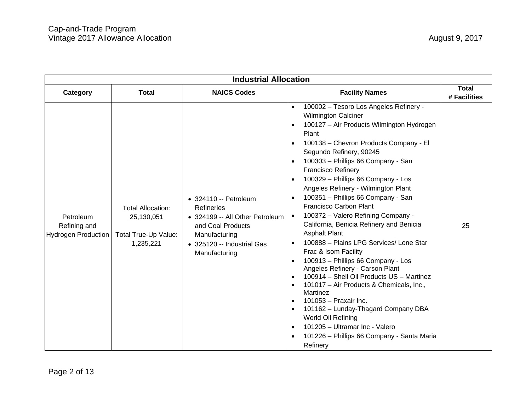| <b>Industrial Allocation</b>                            |                                                                             |                                                                                                                                                                    |                                                                                                                                                                                                                                                                                                                                                                                                                                                                                                                                                                                                                                                                                                                                                                                                                                                                                                                                                                                                                                                                                                                                                                 |                              |
|---------------------------------------------------------|-----------------------------------------------------------------------------|--------------------------------------------------------------------------------------------------------------------------------------------------------------------|-----------------------------------------------------------------------------------------------------------------------------------------------------------------------------------------------------------------------------------------------------------------------------------------------------------------------------------------------------------------------------------------------------------------------------------------------------------------------------------------------------------------------------------------------------------------------------------------------------------------------------------------------------------------------------------------------------------------------------------------------------------------------------------------------------------------------------------------------------------------------------------------------------------------------------------------------------------------------------------------------------------------------------------------------------------------------------------------------------------------------------------------------------------------|------------------------------|
| Category                                                | <b>Total</b>                                                                | <b>NAICS Codes</b>                                                                                                                                                 | <b>Facility Names</b>                                                                                                                                                                                                                                                                                                                                                                                                                                                                                                                                                                                                                                                                                                                                                                                                                                                                                                                                                                                                                                                                                                                                           | <b>Total</b><br># Facilities |
| Petroleum<br>Refining and<br><b>Hydrogen Production</b> | <b>Total Allocation:</b><br>25,130,051<br>Total True-Up Value:<br>1,235,221 | • 324110 -- Petroleum<br><b>Refineries</b><br>• 324199 -- All Other Petroleum<br>and Coal Products<br>Manufacturing<br>• 325120 -- Industrial Gas<br>Manufacturing | 100002 - Tesoro Los Angeles Refinery -<br>$\bullet$<br><b>Wilmington Calciner</b><br>100127 - Air Products Wilmington Hydrogen<br>$\bullet$<br>Plant<br>100138 - Chevron Products Company - El<br>$\bullet$<br>Segundo Refinery, 90245<br>100303 - Phillips 66 Company - San<br>$\bullet$<br><b>Francisco Refinery</b><br>100329 - Phillips 66 Company - Los<br>$\bullet$<br>Angeles Refinery - Wilmington Plant<br>100351 - Phillips 66 Company - San<br>$\bullet$<br>Francisco Carbon Plant<br>100372 - Valero Refining Company -<br>$\bullet$<br>California, Benicia Refinery and Benicia<br><b>Asphalt Plant</b><br>100888 - Plains LPG Services/ Lone Star<br>$\bullet$<br>Frac & Isom Facility<br>100913 - Phillips 66 Company - Los<br>$\bullet$<br>Angeles Refinery - Carson Plant<br>100914 - Shell Oil Products US - Martinez<br>$\bullet$<br>101017 - Air Products & Chemicals, Inc.,<br>$\bullet$<br>Martinez<br>101053 - Praxair Inc.<br>$\bullet$<br>101162 - Lunday-Thagard Company DBA<br>$\bullet$<br>World Oil Refining<br>101205 - Ultramar Inc - Valero<br>$\bullet$<br>101226 - Phillips 66 Company - Santa Maria<br>$\bullet$<br>Refinery | 25                           |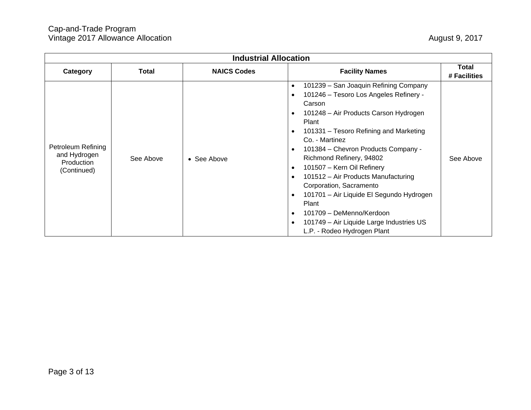| <b>Industrial Allocation</b>                                    |           |                    |                                                                                                                                                                                                                                                                                                                                                                                                                                                                                                                                                                                                                                                                          |                              |
|-----------------------------------------------------------------|-----------|--------------------|--------------------------------------------------------------------------------------------------------------------------------------------------------------------------------------------------------------------------------------------------------------------------------------------------------------------------------------------------------------------------------------------------------------------------------------------------------------------------------------------------------------------------------------------------------------------------------------------------------------------------------------------------------------------------|------------------------------|
| Category                                                        | Total     | <b>NAICS Codes</b> | <b>Facility Names</b>                                                                                                                                                                                                                                                                                                                                                                                                                                                                                                                                                                                                                                                    | <b>Total</b><br># Facilities |
| Petroleum Refining<br>and Hydrogen<br>Production<br>(Continued) | See Above | • See Above        | 101239 - San Joaquin Refining Company<br>$\bullet$<br>101246 - Tesoro Los Angeles Refinery -<br>$\bullet$<br>Carson<br>101248 - Air Products Carson Hydrogen<br>$\bullet$<br>Plant<br>101331 – Tesoro Refining and Marketing<br>$\bullet$<br>Co. - Martinez<br>101384 - Chevron Products Company -<br>$\bullet$<br>Richmond Refinery, 94802<br>101507 - Kern Oil Refinery<br>$\bullet$<br>101512 - Air Products Manufacturing<br>$\bullet$<br>Corporation, Sacramento<br>101701 - Air Liquide El Segundo Hydrogen<br>$\bullet$<br>Plant<br>101709 - DeMenno/Kerdoon<br>$\bullet$<br>101749 - Air Liquide Large Industries US<br>$\bullet$<br>L.P. - Rodeo Hydrogen Plant | See Above                    |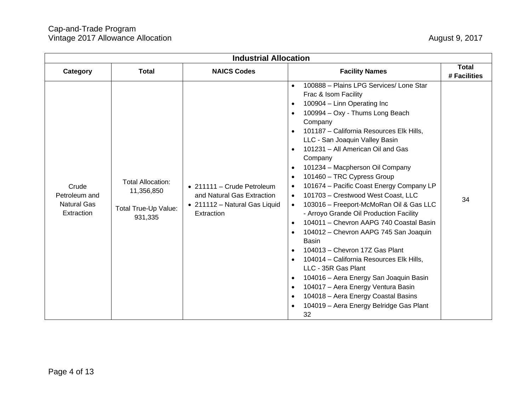| <b>Industrial Allocation</b>                               |                                                                           |                                                                                                         |                                                                                                                                                                                                                                                                                                                                                                                                                                                                                                                                                                                                                                                                                                                                                                                                                                                                                                                                                                                                                                                                                                                                                |                              |  |
|------------------------------------------------------------|---------------------------------------------------------------------------|---------------------------------------------------------------------------------------------------------|------------------------------------------------------------------------------------------------------------------------------------------------------------------------------------------------------------------------------------------------------------------------------------------------------------------------------------------------------------------------------------------------------------------------------------------------------------------------------------------------------------------------------------------------------------------------------------------------------------------------------------------------------------------------------------------------------------------------------------------------------------------------------------------------------------------------------------------------------------------------------------------------------------------------------------------------------------------------------------------------------------------------------------------------------------------------------------------------------------------------------------------------|------------------------------|--|
| Category                                                   | <b>Total</b>                                                              | <b>NAICS Codes</b>                                                                                      | <b>Facility Names</b>                                                                                                                                                                                                                                                                                                                                                                                                                                                                                                                                                                                                                                                                                                                                                                                                                                                                                                                                                                                                                                                                                                                          | <b>Total</b><br># Facilities |  |
| Crude<br>Petroleum and<br><b>Natural Gas</b><br>Extraction | <b>Total Allocation:</b><br>11,356,850<br>Total True-Up Value:<br>931,335 | • 211111 - Crude Petroleum<br>and Natural Gas Extraction<br>• 211112 - Natural Gas Liquid<br>Extraction | 100888 - Plains LPG Services/ Lone Star<br>$\bullet$<br>Frac & Isom Facility<br>100904 - Linn Operating Inc<br>$\bullet$<br>100994 - Oxy - Thums Long Beach<br>$\bullet$<br>Company<br>101187 - California Resources Elk Hills,<br>$\bullet$<br>LLC - San Joaquin Valley Basin<br>101231 - All American Oil and Gas<br>$\bullet$<br>Company<br>101234 - Macpherson Oil Company<br>$\bullet$<br>101460 - TRC Cypress Group<br>$\bullet$<br>101674 - Pacific Coast Energy Company LP<br>$\bullet$<br>101703 - Crestwood West Coast, LLC<br>$\bullet$<br>103016 - Freeport-McMoRan Oil & Gas LLC<br>$\bullet$<br>- Arroyo Grande Oil Production Facility<br>104011 - Chevron AAPG 740 Coastal Basin<br>$\bullet$<br>104012 - Chevron AAPG 745 San Joaquin<br>$\bullet$<br><b>Basin</b><br>104013 - Chevron 17Z Gas Plant<br>$\bullet$<br>104014 - California Resources Elk Hills,<br>$\bullet$<br>LLC - 35R Gas Plant<br>104016 - Aera Energy San Joaquin Basin<br>$\bullet$<br>104017 - Aera Energy Ventura Basin<br>$\bullet$<br>104018 - Aera Energy Coastal Basins<br>$\bullet$<br>104019 - Aera Energy Belridge Gas Plant<br>$\bullet$<br>32 | 34                           |  |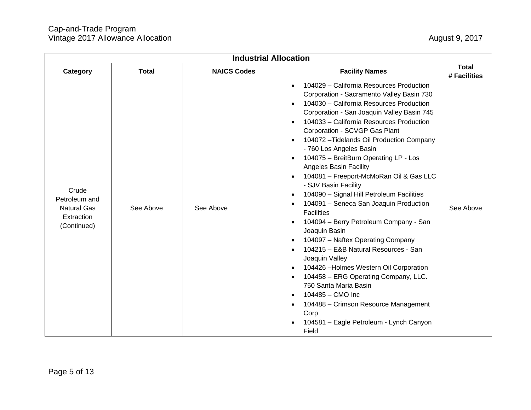| <b>Industrial Allocation</b>                                              |              |                    |                                                                                                                                                                                                                                                                                                                                                                                                                                                                                                                                                                                                                                                                                                                                                                                                                                                                                                                                                                                                                                                                                                                                                                                                             |                              |
|---------------------------------------------------------------------------|--------------|--------------------|-------------------------------------------------------------------------------------------------------------------------------------------------------------------------------------------------------------------------------------------------------------------------------------------------------------------------------------------------------------------------------------------------------------------------------------------------------------------------------------------------------------------------------------------------------------------------------------------------------------------------------------------------------------------------------------------------------------------------------------------------------------------------------------------------------------------------------------------------------------------------------------------------------------------------------------------------------------------------------------------------------------------------------------------------------------------------------------------------------------------------------------------------------------------------------------------------------------|------------------------------|
| Category                                                                  | <b>Total</b> | <b>NAICS Codes</b> | <b>Facility Names</b>                                                                                                                                                                                                                                                                                                                                                                                                                                                                                                                                                                                                                                                                                                                                                                                                                                                                                                                                                                                                                                                                                                                                                                                       | <b>Total</b><br># Facilities |
| Crude<br>Petroleum and<br><b>Natural Gas</b><br>Extraction<br>(Continued) | See Above    | See Above          | 104029 - California Resources Production<br>$\bullet$<br>Corporation - Sacramento Valley Basin 730<br>104030 - California Resources Production<br>$\bullet$<br>Corporation - San Joaquin Valley Basin 745<br>104033 - California Resources Production<br>$\bullet$<br>Corporation - SCVGP Gas Plant<br>104072 - Tidelands Oil Production Company<br>$\bullet$<br>- 760 Los Angeles Basin<br>104075 - BreitBurn Operating LP - Los<br>$\bullet$<br><b>Angeles Basin Facility</b><br>104081 - Freeport-McMoRan Oil & Gas LLC<br>$\bullet$<br>- SJV Basin Facility<br>104090 - Signal Hill Petroleum Facilities<br>$\bullet$<br>104091 - Seneca San Joaquin Production<br>$\bullet$<br><b>Facilities</b><br>104094 - Berry Petroleum Company - San<br>$\bullet$<br>Joaquin Basin<br>104097 - Naftex Operating Company<br>$\bullet$<br>104215 - E&B Natural Resources - San<br>$\bullet$<br>Joaquin Valley<br>104426 - Holmes Western Oil Corporation<br>$\bullet$<br>104458 - ERG Operating Company, LLC.<br>$\bullet$<br>750 Santa Maria Basin<br>104485 - CMO Inc<br>$\bullet$<br>104488 - Crimson Resource Management<br>$\bullet$<br>Corp<br>104581 - Eagle Petroleum - Lynch Canyon<br>$\bullet$<br>Field | See Above                    |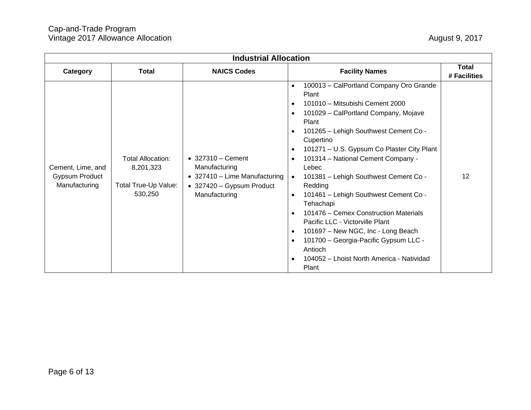| <b>Industrial Allocation</b>                         |                                                                   |                                                                                                                                   |                                                                                                                                                                                                                                                                                                                                                                                                                                                                                                                                                                                                                                                                                                                                                                              |                              |
|------------------------------------------------------|-------------------------------------------------------------------|-----------------------------------------------------------------------------------------------------------------------------------|------------------------------------------------------------------------------------------------------------------------------------------------------------------------------------------------------------------------------------------------------------------------------------------------------------------------------------------------------------------------------------------------------------------------------------------------------------------------------------------------------------------------------------------------------------------------------------------------------------------------------------------------------------------------------------------------------------------------------------------------------------------------------|------------------------------|
| Category                                             | <b>Total</b>                                                      | <b>NAICS Codes</b>                                                                                                                | <b>Facility Names</b>                                                                                                                                                                                                                                                                                                                                                                                                                                                                                                                                                                                                                                                                                                                                                        | <b>Total</b><br># Facilities |
| Cement, Lime, and<br>Gypsum Product<br>Manufacturing | Total Allocation:<br>8,201,323<br>Total True-Up Value:<br>530,250 | $\bullet$ 327310 - Cement<br>Manufacturing<br>$\bullet$ 327410 - Lime Manufacturing<br>• 327420 - Gypsum Product<br>Manufacturing | 100013 - CalPortland Company Oro Grande<br>$\bullet$<br>Plant<br>101010 - Mitsubishi Cement 2000<br>$\bullet$<br>101029 - CalPortland Company, Mojave<br>$\bullet$<br>Plant<br>101265 - Lehigh Southwest Cement Co -<br>$\bullet$<br>Cupertino<br>101271 - U.S. Gypsum Co Plaster City Plant<br>$\bullet$<br>101314 - National Cement Company -<br>Lebec<br>101381 - Lehigh Southwest Cement Co -<br>$\bullet$<br>Redding<br>101461 - Lehigh Southwest Cement Co -<br>$\bullet$<br>Tehachapi<br>101476 - Cemex Construction Materials<br>$\bullet$<br>Pacific LLC - Victorville Plant<br>101697 - New NGC, Inc - Long Beach<br>$\bullet$<br>101700 - Georgia-Pacific Gypsum LLC -<br>$\bullet$<br>Antioch<br>104052 - Lhoist North America - Natividad<br>$\bullet$<br>Plant | 12                           |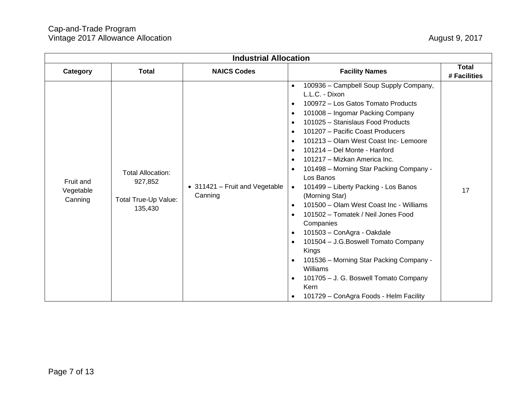| <b>Industrial Allocation</b>      |                                                                        |                                           |                                                                                                                                                                                                                                                                                                                                                                                                                                                                                                                                                                                                                                                                                                                                                                                                                                                                                                                                                                                                    |                              |
|-----------------------------------|------------------------------------------------------------------------|-------------------------------------------|----------------------------------------------------------------------------------------------------------------------------------------------------------------------------------------------------------------------------------------------------------------------------------------------------------------------------------------------------------------------------------------------------------------------------------------------------------------------------------------------------------------------------------------------------------------------------------------------------------------------------------------------------------------------------------------------------------------------------------------------------------------------------------------------------------------------------------------------------------------------------------------------------------------------------------------------------------------------------------------------------|------------------------------|
| Category                          | <b>Total</b>                                                           | <b>NAICS Codes</b>                        | <b>Facility Names</b>                                                                                                                                                                                                                                                                                                                                                                                                                                                                                                                                                                                                                                                                                                                                                                                                                                                                                                                                                                              | <b>Total</b><br># Facilities |
| Fruit and<br>Vegetable<br>Canning | <b>Total Allocation:</b><br>927,852<br>Total True-Up Value:<br>135,430 | • 311421 - Fruit and Vegetable<br>Canning | 100936 - Campbell Soup Supply Company,<br>$\bullet$<br>L.L.C. - Dixon<br>100972 – Los Gatos Tomato Products<br>$\bullet$<br>101008 - Ingomar Packing Company<br>$\bullet$<br>101025 - Stanislaus Food Products<br>$\bullet$<br>101207 - Pacific Coast Producers<br>$\bullet$<br>101213 - Olam West Coast Inc- Lemoore<br>$\bullet$<br>101214 - Del Monte - Hanford<br>$\bullet$<br>101217 - Mizkan America Inc.<br>$\bullet$<br>101498 - Morning Star Packing Company -<br>$\bullet$<br>Los Banos<br>101499 - Liberty Packing - Los Banos<br>$\bullet$<br>(Morning Star)<br>101500 - Olam West Coast Inc - Williams<br>$\bullet$<br>101502 - Tomatek / Neil Jones Food<br>$\bullet$<br>Companies<br>101503 - ConAgra - Oakdale<br>$\bullet$<br>101504 - J.G. Boswell Tomato Company<br>$\bullet$<br>Kings<br>101536 - Morning Star Packing Company -<br>$\bullet$<br>Williams<br>101705 - J. G. Boswell Tomato Company<br>$\bullet$<br>Kern<br>101729 - ConAgra Foods - Helm Facility<br>$\bullet$ | 17                           |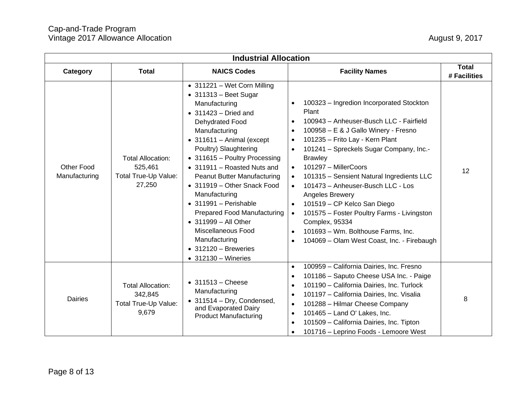| <b>Industrial Allocation</b> |                                                                       |                                                                                                                                                                                                                                                                                                                                                                                                                                                                                                                                                                     |                                                                                                                                                                                                                                                                                                                                                                                                                                                                                                                                                                                                                                                        |                              |
|------------------------------|-----------------------------------------------------------------------|---------------------------------------------------------------------------------------------------------------------------------------------------------------------------------------------------------------------------------------------------------------------------------------------------------------------------------------------------------------------------------------------------------------------------------------------------------------------------------------------------------------------------------------------------------------------|--------------------------------------------------------------------------------------------------------------------------------------------------------------------------------------------------------------------------------------------------------------------------------------------------------------------------------------------------------------------------------------------------------------------------------------------------------------------------------------------------------------------------------------------------------------------------------------------------------------------------------------------------------|------------------------------|
| Category                     | <b>Total</b>                                                          | <b>NAICS Codes</b>                                                                                                                                                                                                                                                                                                                                                                                                                                                                                                                                                  | <b>Facility Names</b>                                                                                                                                                                                                                                                                                                                                                                                                                                                                                                                                                                                                                                  | <b>Total</b><br># Facilities |
| Other Food<br>Manufacturing  | <b>Total Allocation:</b><br>525,461<br>Total True-Up Value:<br>27,250 | • 311221 - Wet Corn Milling<br>$\bullet$ 311313 - Beet Sugar<br>Manufacturing<br>$\bullet$ 311423 – Dried and<br>Dehydrated Food<br>Manufacturing<br>$\bullet$ 311611 - Animal (except<br>Poultry) Slaughtering<br>• 311615 - Poultry Processing<br>• 311911 - Roasted Nuts and<br>Peanut Butter Manufacturing<br>• 311919 - Other Snack Food<br>Manufacturing<br>$\bullet$ 311991 - Perishable<br><b>Prepared Food Manufacturing</b><br>• 311999 - All Other<br>Miscellaneous Food<br>Manufacturing<br>$\bullet$ 312120 - Breweries<br>$\bullet$ 312130 - Wineries | 100323 - Ingredion Incorporated Stockton<br>$\bullet$<br>Plant<br>100943 - Anheuser-Busch LLC - Fairfield<br>100958 - E & J Gallo Winery - Fresno<br>$\bullet$<br>101235 - Frito Lay - Kern Plant<br>$\bullet$<br>101241 - Spreckels Sugar Company, Inc.-<br>$\bullet$<br><b>Brawley</b><br>101297 - MillerCoors<br>$\bullet$<br>101315 - Sensient Natural Ingredients LLC<br>101473 - Anheuser-Busch LLC - Los<br>Angeles Brewery<br>101519 - CP Kelco San Diego<br>101575 - Foster Poultry Farms - Livingston<br>$\bullet$<br><b>Complex, 95334</b><br>101693 - Wm. Bolthouse Farms, Inc.<br>$\bullet$<br>104069 - Olam West Coast, Inc. - Firebaugh | 12                           |
| Dairies                      | <b>Total Allocation:</b><br>342,845<br>Total True-Up Value:<br>9,679  | $\bullet$ 311513 - Cheese<br>Manufacturing<br>$\bullet$ 311514 - Dry, Condensed,<br>and Evaporated Dairy<br><b>Product Manufacturing</b>                                                                                                                                                                                                                                                                                                                                                                                                                            | 100959 - California Dairies, Inc. Fresno<br>$\bullet$<br>101186 - Saputo Cheese USA Inc. - Paige<br>$\bullet$<br>101190 - California Dairies, Inc. Turlock<br>$\bullet$<br>101197 - California Dairies, Inc. Visalia<br>101288 - Hilmar Cheese Company<br>$\bullet$<br>101465 - Land O' Lakes, Inc.<br>$\bullet$<br>101509 - California Dairies, Inc. Tipton<br>101716 - Leprino Foods - Lemoore West<br>$\bullet$                                                                                                                                                                                                                                     | 8                            |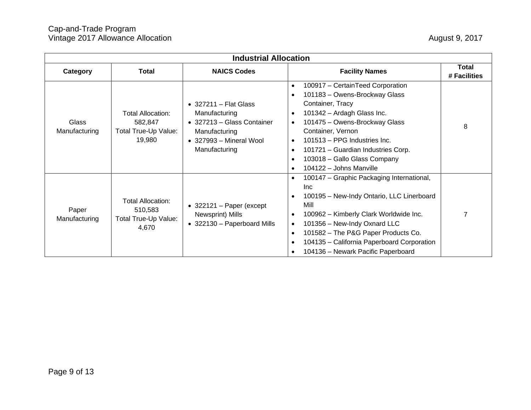| <b>Industrial Allocation</b> |                                                                       |                                                                                                                                                   |                                                                                                                                                                                                                                                                                                                                                                                                                    |                              |
|------------------------------|-----------------------------------------------------------------------|---------------------------------------------------------------------------------------------------------------------------------------------------|--------------------------------------------------------------------------------------------------------------------------------------------------------------------------------------------------------------------------------------------------------------------------------------------------------------------------------------------------------------------------------------------------------------------|------------------------------|
| Category                     | <b>Total</b>                                                          | <b>NAICS Codes</b>                                                                                                                                | <b>Facility Names</b>                                                                                                                                                                                                                                                                                                                                                                                              | <b>Total</b><br># Facilities |
| Glass<br>Manufacturing       | <b>Total Allocation:</b><br>582,847<br>Total True-Up Value:<br>19,980 | $\bullet$ 327211 - Flat Glass<br>Manufacturing<br>• 327213 - Glass Container<br>Manufacturing<br>$\bullet$ 327993 – Mineral Wool<br>Manufacturing | 100917 - CertainTeed Corporation<br>$\bullet$<br>101183 - Owens-Brockway Glass<br>$\bullet$<br>Container, Tracy<br>101342 - Ardagh Glass Inc.<br>$\bullet$<br>101475 - Owens-Brockway Glass<br>$\bullet$<br>Container, Vernon<br>101513 - PPG Industries Inc.<br>$\bullet$<br>101721 - Guardian Industries Corp.<br>$\bullet$<br>103018 - Gallo Glass Company<br>$\bullet$<br>104122 - Johns Manville<br>$\bullet$ | 8                            |
| Paper<br>Manufacturing       | <b>Total Allocation:</b><br>510,583<br>Total True-Up Value:<br>4,670  | $\bullet$ 322121 – Paper (except<br>Newsprint) Mills<br>• 322130 - Paperboard Mills                                                               | 100147 - Graphic Packaging International,<br>$\bullet$<br>Inc.<br>100195 - New-Indy Ontario, LLC Linerboard<br>$\bullet$<br>Mill<br>100962 - Kimberly Clark Worldwide Inc.<br>٠<br>101356 - New-Indy Oxnard LLC<br>$\bullet$<br>101582 - The P&G Paper Products Co.<br>$\bullet$<br>104135 - California Paperboard Corporation<br>$\bullet$<br>104136 - Newark Pacific Paperboard                                  |                              |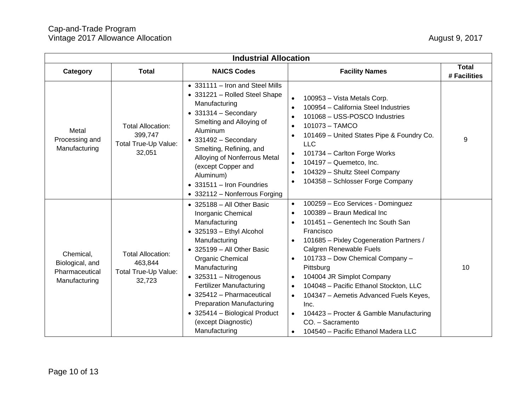| <b>Industrial Allocation</b>                                    |                                                                       |                                                                                                                                                                                                                                                                                                                                                                                                  |                                                                                                                                                                                                                                                                                                                                                                                                                                                                                                                                                                               |                              |
|-----------------------------------------------------------------|-----------------------------------------------------------------------|--------------------------------------------------------------------------------------------------------------------------------------------------------------------------------------------------------------------------------------------------------------------------------------------------------------------------------------------------------------------------------------------------|-------------------------------------------------------------------------------------------------------------------------------------------------------------------------------------------------------------------------------------------------------------------------------------------------------------------------------------------------------------------------------------------------------------------------------------------------------------------------------------------------------------------------------------------------------------------------------|------------------------------|
| Category                                                        | <b>Total</b>                                                          | <b>NAICS Codes</b>                                                                                                                                                                                                                                                                                                                                                                               | <b>Facility Names</b>                                                                                                                                                                                                                                                                                                                                                                                                                                                                                                                                                         | <b>Total</b><br># Facilities |
| Metal<br>Processing and<br>Manufacturing                        | <b>Total Allocation:</b><br>399,747<br>Total True-Up Value:<br>32,051 | • 331111 - Iron and Steel Mills<br>• 331221 - Rolled Steel Shape<br>Manufacturing<br>$\bullet$ 331314 - Secondary<br>Smelting and Alloying of<br>Aluminum<br>$\bullet$ 331492 - Secondary<br>Smelting, Refining, and<br>Alloying of Nonferrous Metal<br>(except Copper and<br>Aluminum)<br>• 331511 - Iron Foundries<br>• 332112 - Nonferrous Forging                                            | 100953 - Vista Metals Corp.<br>$\bullet$<br>100954 - California Steel Industries<br>$\bullet$<br>101068 - USS-POSCO Industries<br>$\bullet$<br>101073 - TAMCO<br>$\bullet$<br>101469 - United States Pipe & Foundry Co.<br>$\bullet$<br><b>LLC</b><br>101734 - Carlton Forge Works<br>$\bullet$<br>104197 - Quemetco, Inc.<br>$\bullet$<br>104329 - Shultz Steel Company<br>$\bullet$<br>104358 - Schlosser Forge Company                                                                                                                                                     | 9                            |
| Chemical,<br>Biological, and<br>Pharmaceutical<br>Manufacturing | <b>Total Allocation:</b><br>463,844<br>Total True-Up Value:<br>32,723 | • 325188 - All Other Basic<br>Inorganic Chemical<br>Manufacturing<br>• 325193 - Ethyl Alcohol<br>Manufacturing<br>• 325199 - All Other Basic<br>Organic Chemical<br>Manufacturing<br>$\bullet$ 325311 - Nitrogenous<br><b>Fertilizer Manufacturing</b><br>• 325412 - Pharmaceutical<br><b>Preparation Manufacturing</b><br>• 325414 - Biological Product<br>(except Diagnostic)<br>Manufacturing | 100259 - Eco Services - Dominguez<br>$\bullet$<br>100389 - Braun Medical Inc<br>$\bullet$<br>101451 - Genentech Inc South San<br>$\bullet$<br>Francisco<br>101685 - Pixley Cogeneration Partners /<br>$\bullet$<br>Calgren Renewable Fuels<br>101733 - Dow Chemical Company -<br>$\bullet$<br>Pittsburg<br>104004 JR Simplot Company<br>$\bullet$<br>104048 - Pacific Ethanol Stockton, LLC<br>$\bullet$<br>104347 - Aemetis Advanced Fuels Keyes,<br>Inc.<br>104423 – Procter & Gamble Manufacturing<br>CO. - Sacramento<br>104540 - Pacific Ethanol Madera LLC<br>$\bullet$ | 10                           |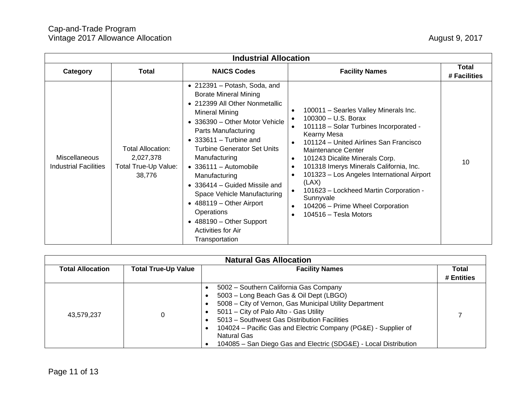| <b>Industrial Allocation</b>                  |                                                                  |                                                                                                                                                                                                                                                                                                                                                                                                                                                                                                            |                                                                                                                                                                                                                                                                                                                                                                                                                                                                                                                             |                              |
|-----------------------------------------------|------------------------------------------------------------------|------------------------------------------------------------------------------------------------------------------------------------------------------------------------------------------------------------------------------------------------------------------------------------------------------------------------------------------------------------------------------------------------------------------------------------------------------------------------------------------------------------|-----------------------------------------------------------------------------------------------------------------------------------------------------------------------------------------------------------------------------------------------------------------------------------------------------------------------------------------------------------------------------------------------------------------------------------------------------------------------------------------------------------------------------|------------------------------|
| Category                                      | <b>Total</b>                                                     | <b>NAICS Codes</b>                                                                                                                                                                                                                                                                                                                                                                                                                                                                                         | <b>Facility Names</b>                                                                                                                                                                                                                                                                                                                                                                                                                                                                                                       | <b>Total</b><br># Facilities |
| Miscellaneous<br><b>Industrial Facilities</b> | Total Allocation:<br>2,027,378<br>Total True-Up Value:<br>38,776 | $\bullet$ 212391 - Potash, Soda, and<br><b>Borate Mineral Mining</b><br>• 212399 All Other Nonmetallic<br>Mineral Mining<br>• 336390 - Other Motor Vehicle<br>Parts Manufacturing<br>$\bullet$ 333611 – Turbine and<br><b>Turbine Generator Set Units</b><br>Manufacturing<br>$\bullet$ 336111 - Automobile<br>Manufacturing<br>• 336414 – Guided Missile and<br>Space Vehicle Manufacturing<br>• 488119 - Other Airport<br>Operations<br>• 488190 - Other Support<br>Activities for Air<br>Transportation | 100011 - Searles Valley Minerals Inc.<br>$\bullet$<br>100300 - U.S. Borax<br>101118 - Solar Turbines Incorporated -<br>Kearny Mesa<br>101124 - United Airlines San Francisco<br>Maintenance Center<br>101243 Dicalite Minerals Corp.<br>$\bullet$<br>101318 Imerys Minerals California, Inc.<br>$\bullet$<br>101323 - Los Angeles International Airport<br>$\bullet$<br>(LAX)<br>101623 - Lockheed Martin Corporation -<br>Sunnyvale<br>104206 – Prime Wheel Corporation<br>$\bullet$<br>104516 - Tesla Motors<br>$\bullet$ | 10                           |

| <b>Natural Gas Allocation</b> |                            |                                                                                                                                                                                                                                                                                                                                                                                                               |            |  |
|-------------------------------|----------------------------|---------------------------------------------------------------------------------------------------------------------------------------------------------------------------------------------------------------------------------------------------------------------------------------------------------------------------------------------------------------------------------------------------------------|------------|--|
| <b>Total Allocation</b>       | <b>Total True-Up Value</b> | <b>Facility Names</b>                                                                                                                                                                                                                                                                                                                                                                                         | Total      |  |
|                               |                            |                                                                                                                                                                                                                                                                                                                                                                                                               | # Entities |  |
| 43,579,237                    |                            | 5002 - Southern California Gas Company<br>5003 - Long Beach Gas & Oil Dept (LBGO)<br>5008 - City of Vernon, Gas Municipal Utility Department<br>$\bullet$<br>5011 - City of Palo Alto - Gas Utility<br>5013 - Southwest Gas Distribution Facilities<br>٠<br>104024 – Pacific Gas and Electric Company (PG&E) - Supplier of<br>Natural Gas<br>104085 - San Diego Gas and Electric (SDG&E) - Local Distribution |            |  |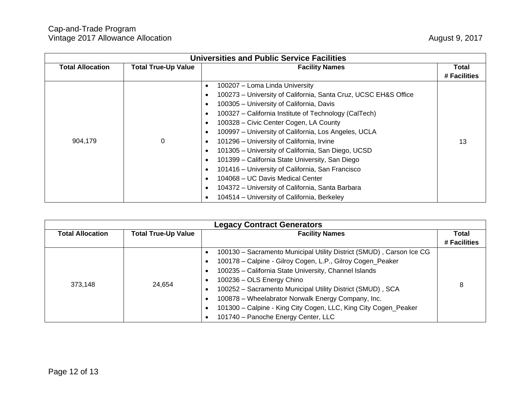| <b>Universities and Public Service Facilities</b> |                            |                                                                              |              |  |
|---------------------------------------------------|----------------------------|------------------------------------------------------------------------------|--------------|--|
| <b>Total Allocation</b>                           | <b>Total True-Up Value</b> | <b>Facility Names</b>                                                        | Total        |  |
|                                                   |                            |                                                                              | # Facilities |  |
|                                                   |                            | 100207 - Loma Linda University<br>$\bullet$                                  |              |  |
|                                                   |                            | 100273 - University of California, Santa Cruz, UCSC EH&S Office<br>$\bullet$ |              |  |
|                                                   |                            | 100305 - University of California, Davis<br>$\bullet$                        |              |  |
|                                                   |                            | 100327 - California Institute of Technology (CalTech)<br>$\bullet$           |              |  |
|                                                   |                            | 100328 - Civic Center Cogen, LA County<br>$\bullet$                          |              |  |
|                                                   |                            | 100997 - University of California, Los Angeles, UCLA<br>$\bullet$            |              |  |
| 904,179                                           | 0                          | 101296 - University of California, Irvine<br>$\bullet$                       | 13           |  |
|                                                   |                            | 101305 - University of California, San Diego, UCSD<br>$\bullet$              |              |  |
|                                                   |                            | 101399 - California State University, San Diego<br>$\bullet$                 |              |  |
|                                                   |                            | 101416 – University of California, San Francisco<br>$\bullet$                |              |  |
|                                                   |                            | 104068 - UC Davis Medical Center<br>$\bullet$                                |              |  |
|                                                   |                            | 104372 - University of California, Santa Barbara<br>$\bullet$                |              |  |
|                                                   |                            | 104514 – University of California, Berkeley<br>$\bullet$                     |              |  |

| <b>Legacy Contract Generators</b> |                            |                                                                      |              |  |  |
|-----------------------------------|----------------------------|----------------------------------------------------------------------|--------------|--|--|
| <b>Total Allocation</b>           | <b>Total True-Up Value</b> | <b>Facility Names</b>                                                | Total        |  |  |
|                                   |                            |                                                                      | # Facilities |  |  |
| 373,148                           | 24,654                     | 100130 - Sacramento Municipal Utility District (SMUD), Carson Ice CG | 8            |  |  |
|                                   |                            | 100178 - Calpine - Gilroy Cogen, L.P., Gilroy Cogen_Peaker           |              |  |  |
|                                   |                            | 100235 - California State University, Channel Islands                |              |  |  |
|                                   |                            | 100236 - OLS Energy Chino                                            |              |  |  |
|                                   |                            | 100252 - Sacramento Municipal Utility District (SMUD), SCA           |              |  |  |
|                                   |                            | 100878 - Wheelabrator Norwalk Energy Company, Inc.                   |              |  |  |
|                                   |                            | 101300 - Calpine - King City Cogen, LLC, King City Cogen_Peaker      |              |  |  |
|                                   |                            | 101740 - Panoche Energy Center, LLC                                  |              |  |  |